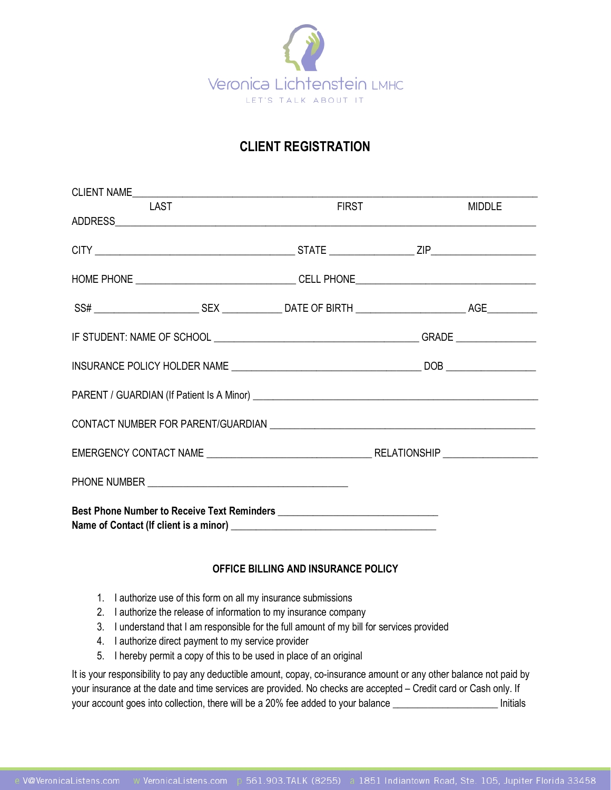

# **CLIENT REGISTRATION**

| <b>LAST</b> | <b>FIRST</b> | <b>MIDDLE</b> |
|-------------|--------------|---------------|
|             |              |               |
|             |              |               |
|             |              |               |
|             |              |               |
|             |              |               |
|             |              |               |
|             |              |               |
|             |              |               |
|             |              |               |
|             |              |               |
|             |              |               |

#### **OFFICE BILLING AND INSURANCE POLICY**

- 1. I authorize use of this form on all my insurance submissions
- 2. I authorize the release of information to my insurance company
- 3. I understand that I am responsible for the full amount of my bill for services provided
- 4. I authorize direct payment to my service provider
- 5. I hereby permit a copy of this to be used in place of an original

It is your responsibility to pay any deductible amount, copay, co-insurance amount or any other balance not paid by your insurance at the date and time services are provided. No checks are accepted – Credit card or Cash only. If your account goes into collection, there will be a 20% fee added to your balance \_\_\_\_\_\_\_\_\_\_\_\_\_\_\_\_\_\_\_\_\_\_\_\_\_ Initials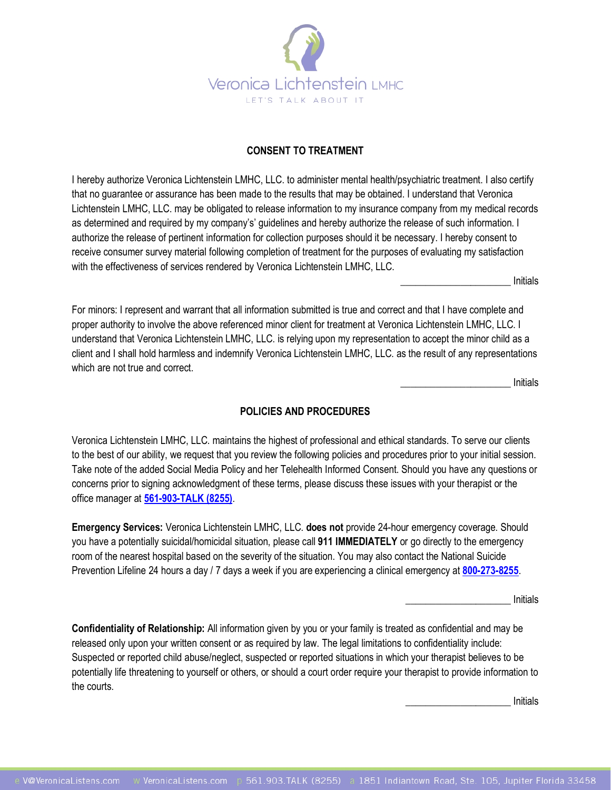

### **CONSENT TO TREATMENT**

I hereby authorize Veronica Lichtenstein LMHC, LLC. to administer mental health/psychiatric treatment. I also certify that no guarantee or assurance has been made to the results that may be obtained. I understand that Veronica Lichtenstein LMHC, LLC. may be obligated to release information to my insurance company from my medical records as determined and required by my company's' guidelines and hereby authorize the release of such information. I authorize the release of pertinent information for collection purposes should it be necessary. I hereby consent to receive consumer survey material following completion of treatment for the purposes of evaluating my satisfaction with the effectiveness of services rendered by Veronica Lichtenstein LMHC, LLC.

\_\_\_\_\_\_\_\_\_\_\_\_\_\_\_\_\_\_\_\_\_\_ Initials

For minors: I represent and warrant that all information submitted is true and correct and that I have complete and proper authority to involve the above referenced minor client for treatment at Veronica Lichtenstein LMHC, LLC. I understand that Veronica Lichtenstein LMHC, LLC. is relying upon my representation to accept the minor child as a client and I shall hold harmless and indemnify Veronica Lichtenstein LMHC, LLC. as the result of any representations which are not true and correct.

\_\_\_\_\_\_\_\_\_\_\_\_\_\_\_\_\_\_\_\_\_\_ Initials

#### **POLICIES AND PROCEDURES**

Veronica Lichtenstein LMHC, LLC. maintains the highest of professional and ethical standards. To serve our clients to the best of our ability, we request that you review the following policies and procedures prior to your initial session. Take note of the added Social Media Policy and her Telehealth Informed Consent. Should you have any questions or concerns prior to signing acknowledgment of these terms, please discuss these issues with your therapist or the office manager at **[561-903-TALK \(8255\)](about:blank)**.

**Emergency Services:** Veronica Lichtenstein LMHC, LLC. **does not** provide 24-hour emergency coverage. Should you have a potentially suicidal/homicidal situation, please call **911 IMMEDIATELY** or go directly to the emergency room of the nearest hospital based on the severity of the situation. You may also contact the National Suicide Prevention Lifeline 24 hours a day / 7 days a week if you are experiencing a clinical emergency at **[800-273-8255](about:blank)**.

\_\_\_\_\_\_\_\_\_\_\_\_\_\_\_\_\_\_\_\_\_ Initials

**Confidentiality of Relationship:** All information given by you or your family is treated as confidential and may be released only upon your written consent or as required by law. The legal limitations to confidentiality include: Suspected or reported child abuse/neglect, suspected or reported situations in which your therapist believes to be potentially life threatening to yourself or others, or should a court order require your therapist to provide information to the courts.

\_\_\_\_\_\_\_\_\_\_\_\_\_\_\_\_\_\_\_\_\_ Initials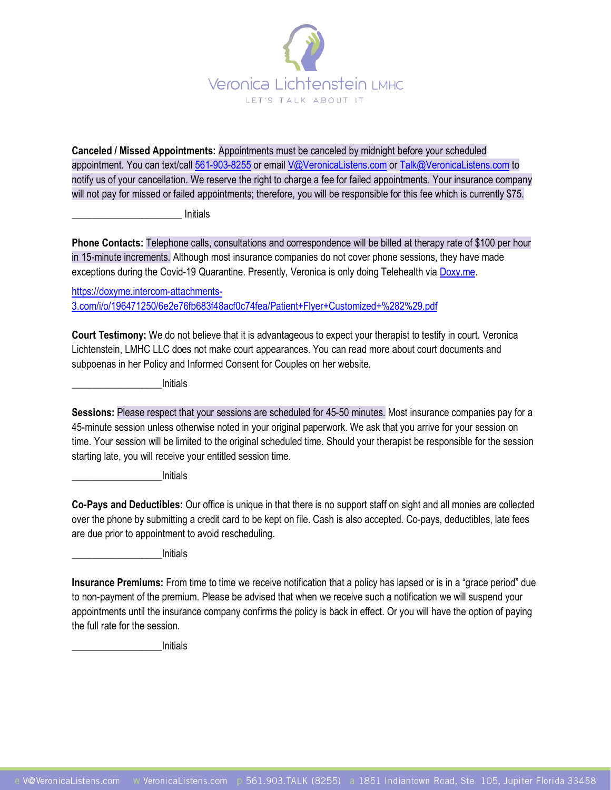

**Canceled / Missed Appointments:** Appointments must be canceled by midnight before your scheduled appointment. You can text/cal[l 561-903-8255](about:blank) or emai[l V@VeronicaListens.com](mailto:V@VeronicaListens.com) o[r Talk@VeronicaListens.com](mailto:Talk@VeronicaListens.com) to notify us of your cancellation. We reserve the right to charge a fee for failed appointments. Your insurance company will not pay for missed or failed appointments; therefore, you will be responsible for this fee which is currently \$75.

\_\_\_\_\_\_\_\_\_\_\_\_\_\_\_\_\_\_\_\_\_\_ Initials

**Phone Contacts:** Telephone calls, consultations and correspondence will be billed at therapy rate of \$100 per hour in 15-minute increments. Although most insurance companies do not cover phone sessions, they have made exceptions during the Covid-19 Quarantine. Presently, Veronica is only doing Telehealth vi[a Doxy.me.](https://doxy.me/vlicht)

[https://doxyme.intercom-attachments-](https://doxyme.intercom-attachments-3.com/i/o/196471250/6e2e76fb683f48acf0c74fea/Patient+Flyer+Customized+%282%29.pdf)[3.com/i/o/196471250/6e2e76fb683f48acf0c74fea/Patient+Flyer+Customized+%282%29.pdf](https://doxyme.intercom-attachments-3.com/i/o/196471250/6e2e76fb683f48acf0c74fea/Patient+Flyer+Customized+%282%29.pdf)

**Court Testimony:** We do not believe that it is advantageous to expect your therapist to testify in court. Veronica Lichtenstein, LMHC LLC does not make court appearances. You can read more about court documents and subpoenas in her Policy and Informed Consent for Couples on her website.

\_\_\_\_\_\_\_\_\_\_\_\_\_\_\_\_\_\_Initials

**Sessions:** Please respect that your sessions are scheduled for 45-50 minutes. Most insurance companies pay for a 45-minute session unless otherwise noted in your original paperwork. We ask that you arrive for your session on time. Your session will be limited to the original scheduled time. Should your therapist be responsible for the session starting late, you will receive your entitled session time.

\_\_\_\_\_\_\_\_\_\_\_\_\_\_\_\_\_\_Initials

**Co-Pays and Deductibles:** Our office is unique in that there is no support staff on sight and all monies are collected over the phone by submitting a credit card to be kept on file. Cash is also accepted. Co-pays, deductibles, late fees are due prior to appointment to avoid rescheduling.

\_\_\_\_\_\_\_\_\_\_\_\_\_\_\_\_\_\_Initials

**Insurance Premiums:** From time to time we receive notification that a policy has lapsed or is in a "grace period" due to non-payment of the premium. Please be advised that when we receive such a notification we will suspend your appointments until the insurance company confirms the policy is back in effect. Or you will have the option of paying the full rate for the session.

\_\_\_\_\_\_\_\_\_\_\_\_\_\_\_\_\_\_Initials